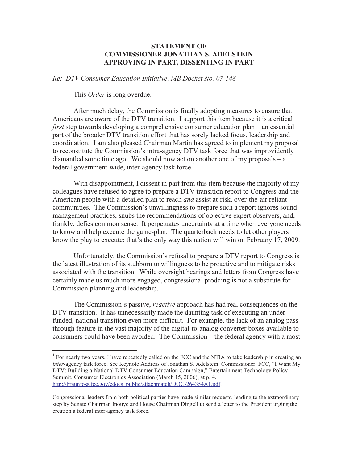## **STATEMENT OF COMMISSIONER JONATHAN S. ADELSTEIN APPROVING IN PART, DISSENTING IN PART**

*Re: DTV Consumer Education Initiative, MB Docket No. 07-148*

This *Order* is long overdue.

After much delay, the Commission is finally adopting measures to ensure that Americans are aware of the DTV transition. I support this item because it is a critical *first* step towards developing a comprehensive consumer education plan – an essential part of the broader DTV transition effort that has sorely lacked focus, leadership and coordination. I am also pleased Chairman Martin has agreed to implement my proposal to reconstitute the Commission's intra-agency DTV task force that was improvidently dismantled some time ago. We should now act on another one of my proposals – a federal government-wide, inter-agency task force.<sup>1</sup>

With disappointment, I dissent in part from this item because the majority of my colleagues have refused to agree to prepare a DTV transition report to Congress and the American people with a detailed plan to reach *and* assist at-risk, over-the-air reliant communities. The Commission's unwillingness to prepare such a report ignores sound management practices, snubs the recommendations of objective expert observers, and, frankly, defies common sense. It perpetuates uncertainty at a time when everyone needs to know and help execute the game-plan. The quarterback needs to let other players know the play to execute; that's the only way this nation will win on February 17, 2009.

Unfortunately, the Commission's refusal to prepare a DTV report to Congress is the latest illustration of its stubborn unwillingness to be proactive and to mitigate risks associated with the transition. While oversight hearings and letters from Congress have certainly made us much more engaged, congressional prodding is not a substitute for Commission planning and leadership.

The Commission's passive, *reactive* approach has had real consequences on the DTV transition. It has unnecessarily made the daunting task of executing an underfunded, national transition even more difficult. For example, the lack of an analog passthrough feature in the vast majority of the digital-to-analog converter boxes available to consumers could have been avoided. The Commission – the federal agency with a most

<sup>&</sup>lt;sup>1</sup> For nearly two years, I have repeatedly called on the FCC and the NTIA to take leadership in creating an *inter*-agency task force. See Keynote Address of Jonathan S. Adelstein, Commissioner, FCC, "I Want My DTV: Building a National DTV Consumer Education Campaign," Entertainment Technology Policy Summit, Consumer Electronics Association (March 15, 2006), at p. 4. http://hraunfoss.fcc.gov/edocs\_public/attachmatch/DOC-264354A1.pdf.

Congressional leaders from both political parties have made similar requests, leading to the extraordinary step by Senate Chairman Inouye and House Chairman Dingell to send a letter to the President urging the creation a federal inter-agency task force.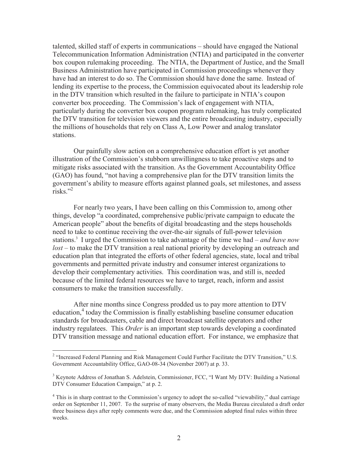talented, skilled staff of experts in communications – should have engaged the National Telecommunication Information Administration (NTIA) and participated in the converter box coupon rulemaking proceeding. The NTIA, the Department of Justice, and the Small Business Administration have participated in Commission proceedings whenever they have had an interest to do so. The Commission should have done the same. Instead of lending its expertise to the process, the Commission equivocated about its leadership role in the DTV transition which resulted in the failure to participate in NTIA's coupon converter box proceeding. The Commission's lack of engagement with NTIA, particularly during the converter box coupon program rulemaking, has truly complicated the DTV transition for television viewers and the entire broadcasting industry, especially the millions of households that rely on Class A, Low Power and analog translator stations.

Our painfully slow action on a comprehensive education effort is yet another illustration of the Commission's stubborn unwillingness to take proactive steps and to mitigate risks associated with the transition. As the Government Accountability Office (GAO) has found, "not having a comprehensive plan for the DTV transition limits the government's ability to measure efforts against planned goals, set milestones, and assess risks<sup>"2</sup>

For nearly two years, I have been calling on this Commission to, among other things, develop "a coordinated, comprehensive public/private campaign to educate the American people" about the benefits of digital broadcasting and the steps households need to take to continue receiving the over-the-air signals of full-power television stations.<sup>3</sup> I urged the Commission to take advantage of the time we had – *and have now lost* – to make the DTV transition a real national priority by developing an outreach and education plan that integrated the efforts of other federal agencies, state, local and tribal governments and permitted private industry and consumer interest organizations to develop their complementary activities. This coordination was, and still is, needed because of the limited federal resources we have to target, reach, inform and assist consumers to make the transition successfully.

After nine months since Congress prodded us to pay more attention to DTV education,<sup>4</sup> today the Commission is finally establishing baseline consumer education standards for broadcasters, cable and direct broadcast satellite operators and other industry regulatees. This *Order* is an important step towards developing a coordinated DTV transition message and national education effort. For instance, we emphasize that

<sup>&</sup>lt;sup>2</sup> "Increased Federal Planning and Risk Management Could Further Facilitate the DTV Transition," U.S. Government Accountability Office, GAO-08-34 (November 2007) at p. 33.

<sup>&</sup>lt;sup>3</sup> Keynote Address of Jonathan S. Adelstein, Commissioner, FCC, "I Want My DTV: Building a National DTV Consumer Education Campaign," at p. 2.

<sup>&</sup>lt;sup>4</sup> This is in sharp contrast to the Commission's urgency to adopt the so-called "viewability," dual carriage order on September 11, 2007. To the surprise of many observers, the Media Bureau circulated a draft order three business days after reply comments were due, and the Commission adopted final rules within three weeks.